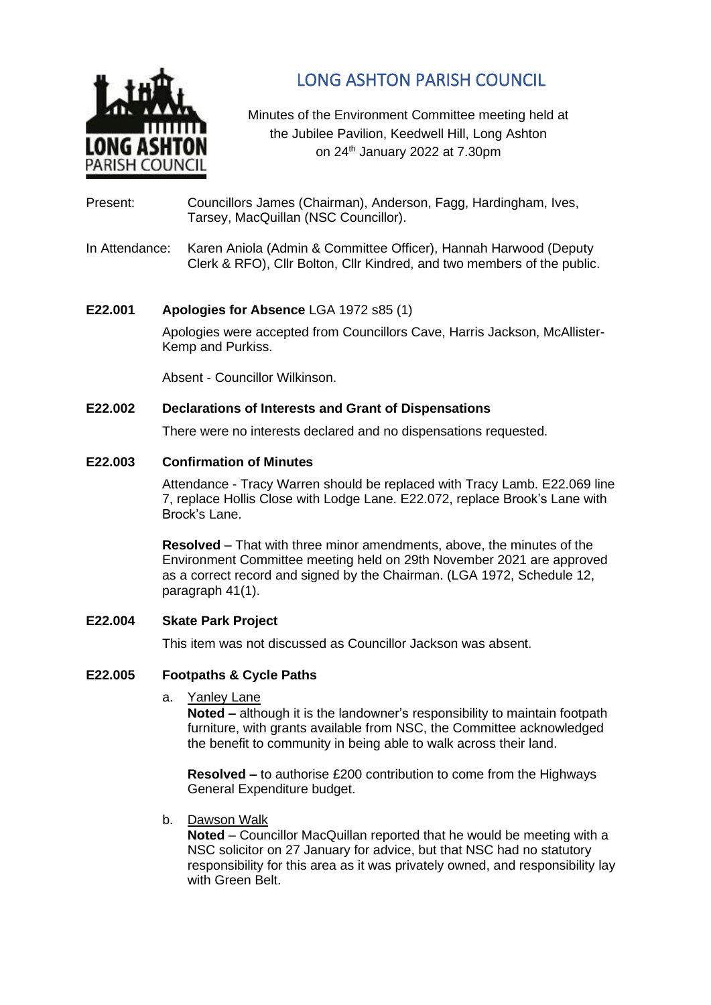

# LONG ASHTON PARISH COUNCIL

Minutes of the Environment Committee meeting held at the Jubilee Pavilion, Keedwell Hill, Long Ashton on 24 th January 2022 at 7.30pm

- Present: Councillors James (Chairman), Anderson, Fagg, Hardingham, Ives, Tarsey, MacQuillan (NSC Councillor).
- In Attendance: Karen Aniola (Admin & Committee Officer), Hannah Harwood (Deputy Clerk & RFO), Cllr Bolton, Cllr Kindred, and two members of the public.

# **E22.001 Apologies for Absence** LGA 1972 s85 (1)

Apologies were accepted from Councillors Cave, Harris Jackson, McAllister-Kemp and Purkiss.

Absent - Councillor Wilkinson.

## **E22.002 Declarations of Interests and Grant of Dispensations**

There were no interests declared and no dispensations requested.

## **E22.003 Confirmation of Minutes**

Attendance - Tracy Warren should be replaced with Tracy Lamb. E22.069 line 7, replace Hollis Close with Lodge Lane. E22.072, replace Brook's Lane with Brock's Lane.

**Resolved** – That with three minor amendments, above, the minutes of the Environment Committee meeting held on 29th November 2021 are approved as a correct record and signed by the Chairman. (LGA 1972, Schedule 12, paragraph 41(1).

# **E22.004 Skate Park Project**

This item was not discussed as Councillor Jackson was absent.

# **E22.005 Footpaths & Cycle Paths**

a. Yanley Lane

**Noted –** although it is the landowner's responsibility to maintain footpath furniture, with grants available from NSC, the Committee acknowledged the benefit to community in being able to walk across their land.

**Resolved –** to authorise £200 contribution to come from the Highways General Expenditure budget.

b. Dawson Walk

**Noted** – Councillor MacQuillan reported that he would be meeting with a NSC solicitor on 27 January for advice, but that NSC had no statutory responsibility for this area as it was privately owned, and responsibility lay with Green Belt.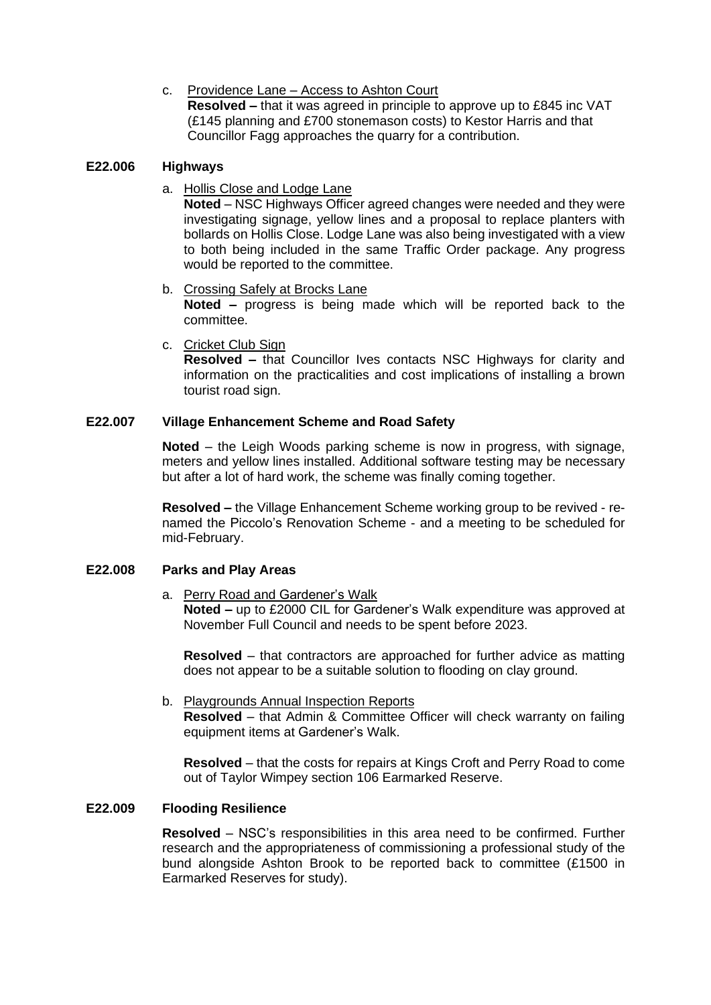# c. Providence Lane – Access to Ashton Court

**Resolved –** that it was agreed in principle to approve up to £845 inc VAT (£145 planning and £700 stonemason costs) to Kestor Harris and that Councillor Fagg approaches the quarry for a contribution.

# **E22.006 Highways**

a. Hollis Close and Lodge Lane

**Noted** – NSC Highways Officer agreed changes were needed and they were investigating signage, yellow lines and a proposal to replace planters with bollards on Hollis Close. Lodge Lane was also being investigated with a view to both being included in the same Traffic Order package. Any progress would be reported to the committee.

- b. Crossing Safely at Brocks Lane **Noted –** progress is being made which will be reported back to the committee.
- c. Cricket Club Sign

**Resolved –** that Councillor Ives contacts NSC Highways for clarity and information on the practicalities and cost implications of installing a brown tourist road sign.

## **E22.007 Village Enhancement Scheme and Road Safety**

**Noted** – the Leigh Woods parking scheme is now in progress, with signage, meters and yellow lines installed. Additional software testing may be necessary but after a lot of hard work, the scheme was finally coming together.

**Resolved –** the Village Enhancement Scheme working group to be revived - renamed the Piccolo's Renovation Scheme - and a meeting to be scheduled for mid-February.

#### **E22.008 Parks and Play Areas**

a. Perry Road and Gardener's Walk

**Noted –** up to £2000 CIL for Gardener's Walk expenditure was approved at November Full Council and needs to be spent before 2023.

**Resolved** – that contractors are approached for further advice as matting does not appear to be a suitable solution to flooding on clay ground.

b. Playgrounds Annual Inspection Reports **Resolved** – that Admin & Committee Officer will check warranty on failing equipment items at Gardener's Walk.

**Resolved** – that the costs for repairs at Kings Croft and Perry Road to come out of Taylor Wimpey section 106 Earmarked Reserve.

#### **E22.009 Flooding Resilience**

**Resolved** – NSC's responsibilities in this area need to be confirmed. Further research and the appropriateness of commissioning a professional study of the bund alongside Ashton Brook to be reported back to committee (£1500 in Earmarked Reserves for study).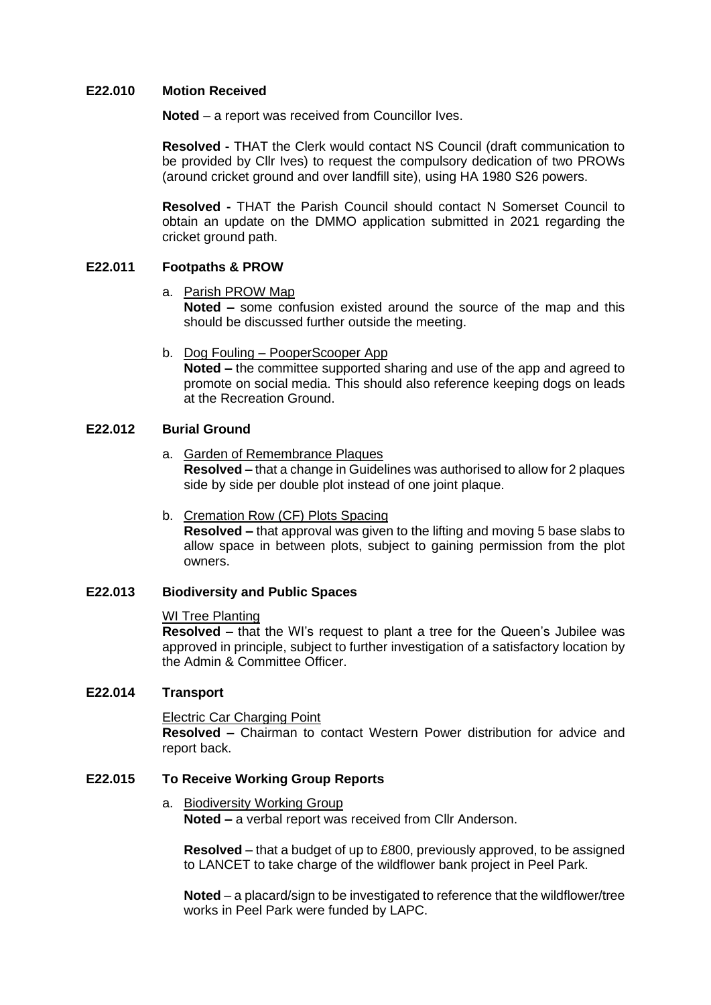#### **E22.010 Motion Received**

**Noted** – a report was received from Councillor Ives.

**Resolved -** THAT the Clerk would contact NS Council (draft communication to be provided by Cllr Ives) to request the compulsory dedication of two PROWs (around cricket ground and over landfill site), using HA 1980 S26 powers.

**Resolved -** THAT the Parish Council should contact N Somerset Council to obtain an update on the DMMO application submitted in 2021 regarding the cricket ground path.

# **E22.011 Footpaths & PROW**

a. Parish PROW Map

**Noted –** some confusion existed around the source of the map and this should be discussed further outside the meeting.

b. Dog Fouling – PooperScooper App

**Noted –** the committee supported sharing and use of the app and agreed to promote on social media. This should also reference keeping dogs on leads at the Recreation Ground.

## **E22.012 Burial Ground**

a. Garden of Remembrance Plaques

**Resolved –** that a change in Guidelines was authorised to allow for 2 plaques side by side per double plot instead of one joint plaque.

b. Cremation Row (CF) Plots Spacing

**Resolved –** that approval was given to the lifting and moving 5 base slabs to allow space in between plots, subject to gaining permission from the plot owners.

#### **E22.013 Biodiversity and Public Spaces**

#### WI Tree Planting

**Resolved –** that the WI's request to plant a tree for the Queen's Jubilee was approved in principle, subject to further investigation of a satisfactory location by the Admin & Committee Officer.

## **E22.014 Transport**

#### Electric Car Charging Point

**Resolved –** Chairman to contact Western Power distribution for advice and report back.

# **E22.015 To Receive Working Group Reports**

#### a. Biodiversity Working Group

**Noted –** a verbal report was received from Cllr Anderson.

**Resolved** – that a budget of up to £800, previously approved, to be assigned to LANCET to take charge of the wildflower bank project in Peel Park.

**Noted** – a placard/sign to be investigated to reference that the wildflower/tree works in Peel Park were funded by LAPC.